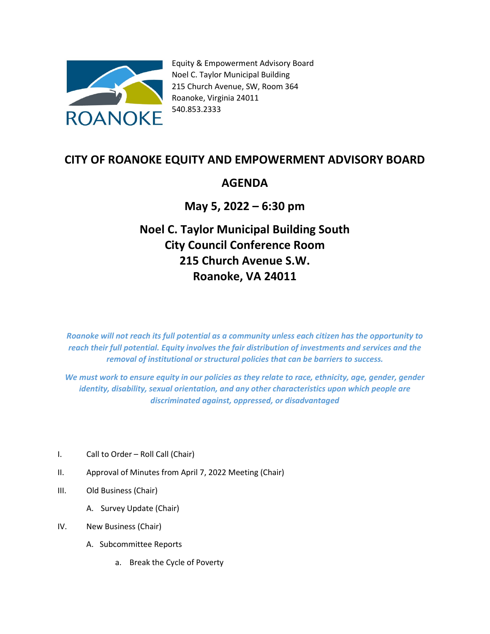

Equity & Empowerment Advisory Board Noel C. Taylor Municipal Building 215 Church Avenue, SW, Room 364 Roanoke, Virginia 24011 540.853.2333

## **CITY OF ROANOKE EQUITY AND EMPOWERMENT ADVISORY BOARD**

## **AGENDA**

## **May 5, 2022 – 6:30 pm**

## **Noel C. Taylor Municipal Building South City Council Conference Room 215 Church Avenue S.W. Roanoke, VA 24011**

*Roanoke will not reach its full potential as a community unless each citizen has the opportunity to reach their full potential. Equity involves the fair distribution of investments and services and the removal of institutional or structural policies that can be barriers to success.*

We must work to ensure equity in our policies as they relate to race, ethnicity, age, gender, gender *identity, disability, sexual orientation, and any other characteristics upon which people are discriminated against, oppressed, or disadvantaged*

- I. Call to Order Roll Call (Chair)
- II. Approval of Minutes from April 7, 2022 Meeting (Chair)
- III. Old Business (Chair)
	- A. Survey Update (Chair)
- IV. New Business (Chair)
	- A. Subcommittee Reports
		- a. Break the Cycle of Poverty